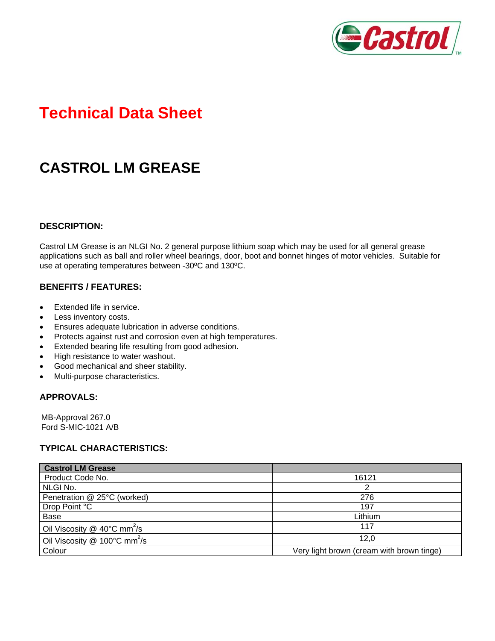

# **Technical Data Sheet**

## **CASTROL LM GREASE**

#### **DESCRIPTION:**

Castrol LM Grease is an NLGI No. 2 general purpose lithium soap which may be used for all general grease applications such as ball and roller wheel bearings, door, boot and bonnet hinges of motor vehicles. Suitable for use at operating temperatures between -30ºC and 130ºC.

#### **BENEFITS / FEATURES:**

- Extended life in service.
- Less inventory costs.
- Ensures adequate lubrication in adverse conditions.
- Protects against rust and corrosion even at high temperatures.
- Extended bearing life resulting from good adhesion.
- High resistance to water washout.
- Good mechanical and sheer stability.
- Multi-purpose characteristics.

#### **APPROVALS:**

MB-Approval 267.0 Ford S-MIC-1021 A/B

#### **TYPICAL CHARACTERISTICS:**

| <b>Castrol LM Grease</b>                           |                                           |
|----------------------------------------------------|-------------------------------------------|
| Product Code No.                                   | 16121                                     |
| NLGI No.                                           | 2                                         |
| Penetration @ 25°C (worked)                        | 276                                       |
| Drop Point °C                                      | 197                                       |
| Base                                               | Lithium                                   |
| Oil Viscosity @ 40 $\degree$ C mm <sup>2</sup> /s  | 117                                       |
| Oil Viscosity @ $100^{\circ}$ C mm <sup>2</sup> /s | 12.0                                      |
| Colour                                             | Very light brown (cream with brown tinge) |